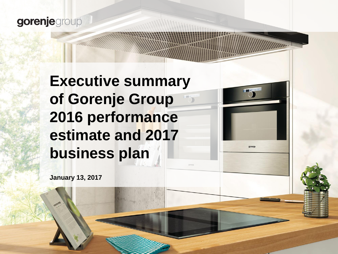### gorenjegroup

# **Executive summary of Gorenje Group 2016 performance estimate and 2017 business plan**

gorenie

**January 13, 2017**

**www.gorenjegroup.com**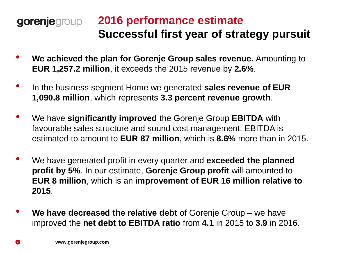#### **2016 performance estimate**  gorenjegroup **Successful first year of strategy pursuit**

- **We achieved the plan for Gorenje Group sales revenue.** Amounting to **EUR 1,257.2 million**, it exceeds the 2015 revenue by **2.6%**.
- In the business segment Home we generated **sales revenue of EUR 1,090.8 million**, which represents **3.3 percent revenue growth**.
- We have **significantly improved** the Gorenje Group **EBITDA** with favourable sales structure and sound cost management. EBITDA is estimated to amount to **EUR 87 million**, which is **8.6%** more than in 2015.
- We have generated profit in every quarter and **exceeded the planned profit by 5%**. In our estimate, **Gorenje Group profit** will amounted to **EUR 8 million**, which is an **improvement of EUR 16 million relative to 2015**.
- **We have decreased the relative debt** of Gorenje Group we have improved the **net debt to EBITDA ratio** from **4.1** in 2015 to **3.9** in 2016.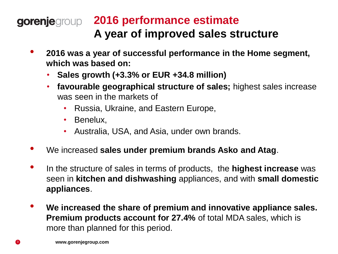### **2016 performance estimate A year of improved sales structure**

- **2016 was a year of successful performance in the Home segment, which was based on:**
	- **Sales growth (+3.3% or EUR +34.8 million)**
	- **favourable geographical structure of sales;** highest sales increase was seen in the markets of
		- Russia, Ukraine, and Eastern Europe,
		- Benelux,
		- Australia, USA, and Asia, under own brands.
- We increased **sales under premium brands Asko and Atag**.
- In the structure of sales in terms of products, the **highest increase** was seen in **kitchen and dishwashing** appliances, and with **small domestic appliances**.
- **We increased the share of premium and innovative appliance sales. Premium products account for 27.4%** of total MDA sales, which is more than planned for this period.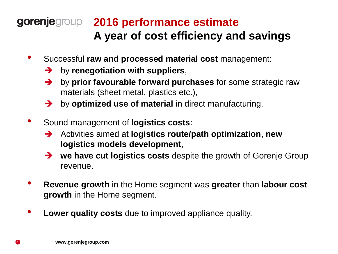### **2016 performance estimate A year of cost efficiency and savings**

- Successful **raw and processed material cost** management:
	- **→** by renegotiation with suppliers,
	- by **prior favourable forward purchases** for some strategic raw materials (sheet metal, plastics etc.),
	- $\rightarrow$  by **optimized use of material** in direct manufacturing.
- Sound management of **logistics costs**:
	- Activities aimed at **logistics route/path optimization**, **new logistics models development**,
	- → we have cut logistics costs despite the growth of Gorenje Group revenue.
- **Revenue growth** in the Home segment was **greater** than **labour cost growth** in the Home segment.
- **Lower quality costs** due to improved appliance quality.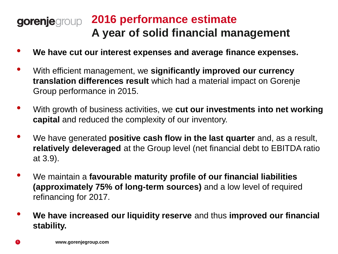### **2016 performance estimate A year of solid financial management**

- **We have cut our interest expenses and average finance expenses.**
- With efficient management, we **significantly improved our currency translation differences result** which had a material impact on Gorenje Group performance in 2015.
- With growth of business activities, we **cut our investments into net working capital** and reduced the complexity of our inventory.
- We have generated **positive cash flow in the last quarter** and, as a result, **relatively deleveraged** at the Group level (net financial debt to EBITDA ratio at 3.9).
- We maintain a **favourable maturity profile of our financial liabilities (approximately 75% of long-term sources)** and a low level of required refinancing for 2017.
- **We have increased our liquidity reserve** and thus **improved our financial stability.**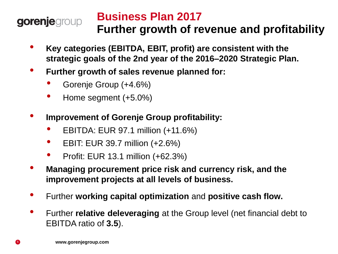#### **Business Plan 2017** gorenjegroup **Further growth of revenue and profitability**

- **Key categories (EBITDA, EBIT, profit) are consistent with the strategic goals of the 2nd year of the 2016–2020 Strategic Plan.**
- **Further growth of sales revenue planned for:**
	- Gorenje Group (+4.6%)
	- Home segment (+5.0%)
- **Improvement of Gorenje Group profitability:**
	- EBITDA: EUR 97.1 million (+11.6%)
	- EBIT: EUR 39.7 million (+2.6%)
	- Profit: EUR 13.1 million (+62.3%)
- **Managing procurement price risk and currency risk, and the improvement projects at all levels of business.**
- Further **working capital optimization** and **positive cash flow.**
- Further **relative deleveraging** at the Group level (net financial debt to EBITDA ratio of **3.5**).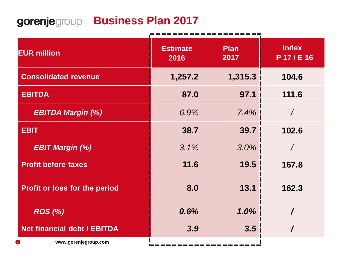## **gorenje**group **Business Plan 2017**

| <b>EUR million</b>                   | <b>Estimate</b><br>2016 | <b>Plan</b><br>2017 | <b>Index</b><br>P 17/E 16 |  |
|--------------------------------------|-------------------------|---------------------|---------------------------|--|
| <b>Consolidated revenue</b>          | 1,257.2                 | 1,315.3             | 104.6                     |  |
| <b>EBITDA</b>                        | 87.0                    | 97.1                | 111.6                     |  |
| <b>EBITDA Margin (%)</b>             | 6.9%                    | 7.4%                |                           |  |
| <b>EBIT</b>                          | 38.7                    | 39.7                | 102.6                     |  |
| <b>EBIT Margin (%)</b>               | 3.1%                    | 3.0%                |                           |  |
| <b>Profit before taxes</b>           | 11.6                    | 19.5                | 167.8                     |  |
| <b>Profit or loss for the period</b> | 8.0                     | 13.1                | 162.3                     |  |
| <b>ROS</b> (%)                       | 0.6%                    | 1.0%                |                           |  |
| <b>Net financial debt / EBITDA</b>   | 3.9                     | 3.5                 |                           |  |
| www.gorenjegroup.com                 |                         |                     |                           |  |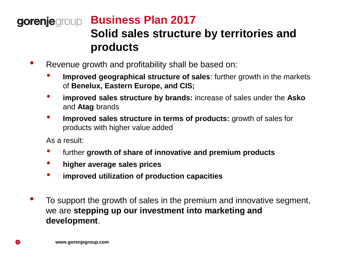### **Business Plan 2017 Solid sales structure by territories and products**

- Revenue growth and profitability shall be based on:
	- **Improved geographical structure of sales**: further growth in the markets of **Benelux, Eastern Europe, and CIS;**
	- **improved sales structure by brands:** increase of sales under the **Asko** and **Atag** brands
	- **Improved sales structure in terms of products:** growth of sales for products with higher value added

As a result:

- further **growth of share of innovative and premium products**
- **higher average sales prices**
- **improved utilization of production capacities**
- To support the growth of sales in the premium and innovative segment, we are **stepping up our investment into marketing and development**.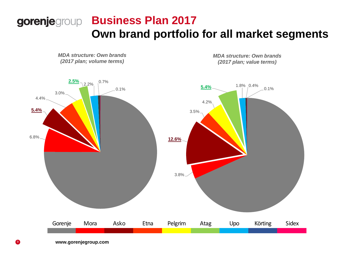### **Business Plan 2017 Own brand portfolio for all market segments**

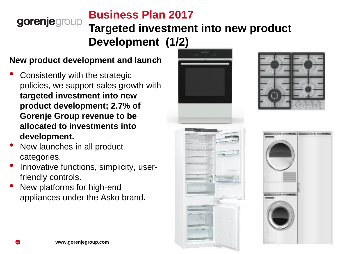#### **Business Plan 2017** gorenjegroup **Targeted investment into new product Development (1/2)**

#### **New product development and launch**

- Consistently with the strategic policies, we support sales growth with **targeted investment into new product development; 2.7% of Gorenje Group revenue to be allocated to investments into development.**
- New launches in all product categories.
- Innovative functions, simplicity, userfriendly controls.
- New platforms for high-end appliances under the Asko brand.





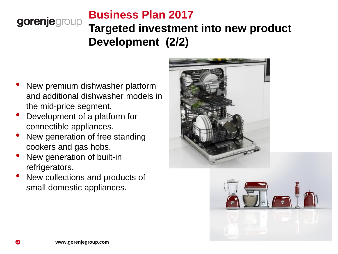#### **Business Plan 2017** gorenjegroup **Targeted investment into new product Development (2/2)**

- New premium dishwasher platform and additional dishwasher models in the mid-price segment.
- Development of a platform for connectible appliances.
- New generation of free standing cookers and gas hobs.
- New generation of built-in refrigerators.
- New collections and products of small domestic appliances.



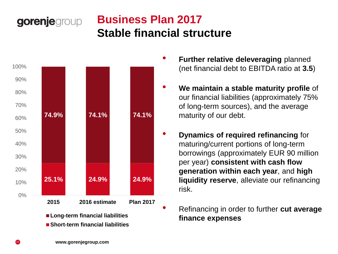### **Business Plan 2017 Stable financial structure**



gorenjegroup

**Long-term financial liabilities Short-term financial liabilities**

- **Further relative deleveraging** planned (net financial debt to EBITDA ratio at **3.5**)
- **We maintain a stable maturity profile** of our financial liabilities (approximately 75% of long-term sources), and the average maturity of our debt.
- **Dynamics of required refinancing** for maturing/current portions of long-term borrowings (approximately EUR 90 million per year) **consistent with cash flow generation within each year**, and **high liquidity reserve**, alleviate our refinancing risk.
	- Refinancing in order to further **cut average finance expenses**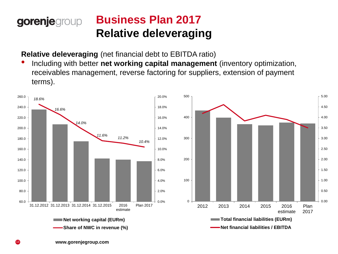#### **Business Plan 2017** gorenjegroup **Relative deleveraging**

**Relative deleveraging** (net financial debt to EBITDA ratio)

• Including with better **net working capital management** (inventory optimization, receivables management, reverse factoring for suppliers, extension of payment terms).